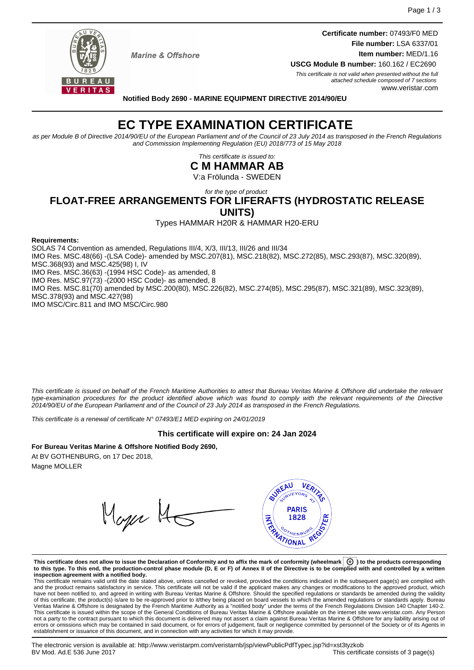**Certificate number:** 07493/F0 MED **File number:** LSA 6337/01 **Item number:** MED/1.16



**Marine & Offshore** 

**USCG Module B number:** 160.162 / EC2690 This certificate is not valid when presented without the full attached schedule composed of 7 sections www.veristar.com

**Notified Body 2690 - MARINE EQUIPMENT DIRECTIVE 2014/90/EU**

# **EC TYPE EXAMINATION CERTIFICATE**

as per Module B of Directive 2014/90/EU of the European Parliament and of the Council of 23 July 2014 as transposed in the French Regulations and Commission Implementing Regulation (EU) 2018/773 of 15 May 2018

> This certificate is issued to: **C M HAMMAR AB**

V:a Frölunda - SWEDEN

for the type of product

# **FLOAT-FREE ARRANGEMENTS FOR LIFERAFTS (HYDROSTATIC RELEASE UNITS)**

Types HAMMAR H20R & HAMMAR H20-ERU

#### **Requirements:**

SOLAS 74 Convention as amended, Regulations III/4, X/3, III/13, III/26 and III/34 IMO Res. MSC.48(66) -(LSA Code)- amended by MSC.207(81), MSC.218(82), MSC.272(85), MSC.293(87), MSC.320(89), MSC.368(93) and MSC.425(98) I, IV IMO Res. MSC.36(63) -(1994 HSC Code)- as amended, 8 IMO Res. MSC.97(73) -(2000 HSC Code)- as amended, 8 IMO Res. MSC.81(70) amended by MSC.200(80), MSC.226(82), MSC.274(85), MSC.295(87), MSC.321(89), MSC.323(89), MSC.378(93) and MSC.427(98) IMO MSC/Circ.811 and IMO MSC/Circ.980

This certificate is issued on behalf of the French Maritime Authorities to attest that Bureau Veritas Marine & Offshore did undertake the relevant type-examination procedures for the product identified above which was found to comply with the relevant requirements of the Directive 2014/90/EU of the European Parliament and of the Council of 23 July 2014 as transposed in the French Regulations.

This certificate is a renewal of certificate N° 07493/E1 MED expiring on 24/01/2019

# **This certificate will expire on: 24 Jan 2024**

# **For Bureau Veritas Marine & Offshore Notified Body 2690,**

At BV GOTHENBURG, on 17 Dec 2018, Magne MOLLER

Mager 14



**This certificate does not allow to issue the Declaration of Conformity and to affix the mark of conformity (wheelmark ) to the products corresponding to this type. To this end, the production-control phase module (D, E or F) of Annex II of the Directive is to be complied with and controlled by a written inspection agreement with a notified body.**<br>This certificate remains valid until the date stated above, unless cancelled or revoked, provided the conditions indicated in the subsequent page(s) are complied with

and the product remains satisfactory in service. This certificate will not be valid if the applicant makes any changes or modifications to the approved product, which have not been notified to, and agreed in writing with Bureau Veritas Marine & Offshore. Should the specified regulations or standards be amended during the validity of this certificate, the product(s) is/are to be re-approved prior to it/they being placed on board vessels to which the amended regulations or standards apply. Bureau<br>Veritas Marine & Offshore is designated by the French This certificate is issued within the scope of the General Conditions of Bureau Veritas Marine & Offshore available on the internet site www.veristar.com. Any Person not a party to the contract pursuant to which this document is delivered may not assert a claim against Bureau Veritas Marine & Offshore for any liability arising out of errors or omissions which may be contained in said document, or for errors of judgement, fault or negligence committed by personnel of the Society or of its Agents in establishment or issuance of this document, and in connection with any activities for which it may provide.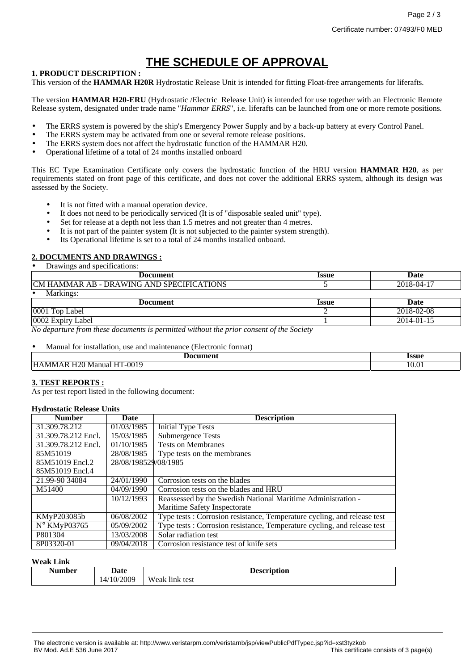# **THE SCHEDULE OF APPROVAL**

### **1. PRODUCT DESCRIPTION :**

This version of the **HAMMAR H20R** Hydrostatic Release Unit is intended for fitting Float-free arrangements for liferafts.

The version **HAMMAR H20-ERU** (Hydrostatic /Electric Release Unit) is intended for use together with an Electronic Remote Release system, designated under trade name "*Hammar ERRS*", i.e. liferafts can be launched from one or more remote positions.

- The ERRS system is powered by the ship's Emergency Power Supply and by a back-up battery at every Control Panel.
- The ERRS system may be activated from one or several remote release positions.
- The ERRS system does not affect the hydrostatic function of the HAMMAR H20.
- Operational lifetime of a total of 24 months installed onboard

This EC Type Examination Certificate only covers the hydrostatic function of the HRU version **HAMMAR H20**, as per requirements stated on front page of this certificate, and does not cover the additional ERRS system, although its design was assessed by the Society.

- It is not fitted with a manual operation device.
- It does not need to be periodically serviced (It is of "disposable sealed unit" type).
- Set for release at a depth not less than 1.5 metres and not greater than 4 metres.
- It is not part of the painter system (It is not subjected to the painter system strength).
- Its Operational lifetime is set to a total of 24 months installed onboard.

# **2. DOCUMENTS AND DRAWINGS :**

• Drawings and specifications:

| Document                                        | Issue        | <b>Date</b>       |
|-------------------------------------------------|--------------|-------------------|
| CM<br>AB - DRAWING AND SPECIFICATIONS<br>HAMMAR |              | 2018-<br>18-04-17 |
| Markings:                                       |              |                   |
| Document                                        | <b>Issue</b> | Date              |

| Document                             | <b>LODUL</b> | vau                   |
|--------------------------------------|--------------|-----------------------|
| 0001<br>$\mathbf{r}$<br>∟abei<br>Top |              | 2018-02-08            |
| 0002<br><b>EXPIT</b><br>Label        |              | 2014-0<br>-01-<br>. . |
| . .                                  |              |                       |

*No departure from these documents is permitted without the prior consent of the Society*

• Manual for installation, use and maintenance (Electronic format)

| Document                                                 | Issue |
|----------------------------------------------------------|-------|
| --- -<br>AT-0019<br><b>HAMMAR</b><br>`H20 Manual L<br>__ | 10.01 |

### **3. TEST REPORTS :**

As per test report listed in the following document:

#### **Hydrostatic Release Units**

| <b>Number</b>         | Date                 | <b>Description</b>                                                       |
|-----------------------|----------------------|--------------------------------------------------------------------------|
| 31.309.78.212         | 01/03/1985           | <b>Initial Type Tests</b>                                                |
| 31.309.78.212 Encl.   | 15/03/1985           | Submergence Tests                                                        |
| 31.309.78.212 Encl.   | 01/10/1985           | <b>Tests on Membranes</b>                                                |
| 85M51019              | 28/08/1985           | Type tests on the membranes                                              |
| 85M51019 Encl.2       | 28/08/198529/08/1985 |                                                                          |
| 85M51019 Encl.4       |                      |                                                                          |
| 21.99-90 34084        | 24/01/1990           | Corrosion tests on the blades                                            |
| M51400                | 04/09/1990           | Corrosion tests on the blades and HRU                                    |
|                       | 10/12/1993           | Reassessed by the Swedish National Maritime Administration -             |
|                       |                      | Maritime Safety Inspectorate                                             |
| KMyP203085b           | 06/08/2002           | Type tests: Corrosion resistance, Temperature cycling, and release test  |
| $N^{\circ}$ KMyP03765 | 05/09/2002           | Type tests : Corrosion resistance, Temperature cycling, and release test |
| P801304               | 13/03/2008           | Solar radiation test                                                     |
| 8P03320-01            | 09/04/2018           | Corrosion resistance test of knife sets                                  |

# **Weak Link**

| Number | Jate                | <b>Pescription</b>        |
|--------|---------------------|---------------------------|
|        | )/2009<br>10/<br>4, | . .<br>Weak.<br>link test |